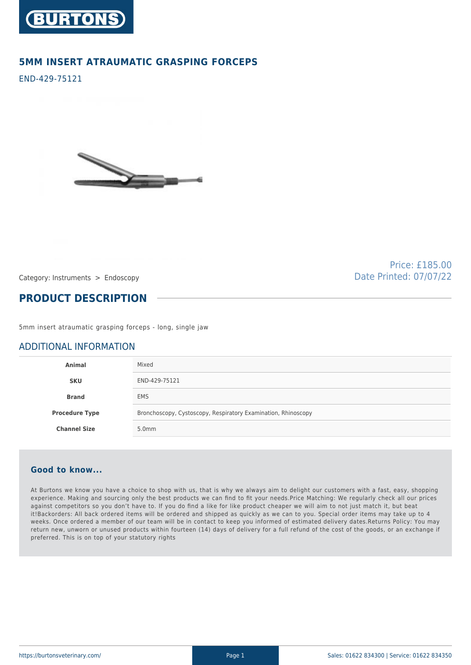

## **5MM INSERT ATRAUMATIC GRASPING FORCEPS**

END-429-75121



Price: £185.00 Date Printed: 07/07/22

Category: Instruments > Endoscopy

## **PRODUCT DESCRIPTION**

5mm insert atraumatic grasping forceps - long, single jaw

## ADDITIONAL INFORMATION

| Animal                | Mixed                                                         |
|-----------------------|---------------------------------------------------------------|
| <b>SKU</b>            | END-429-75121                                                 |
| <b>Brand</b>          | <b>EMS</b>                                                    |
| <b>Procedure Type</b> | Bronchoscopy, Cystoscopy, Respiratory Examination, Rhinoscopy |
| <b>Channel Size</b>   | 5.0 <sub>mm</sub>                                             |

## **Good to know...**

At Burtons we know you have a choice to shop with us, that is why we always aim to delight our customers with a fast, easy, shopping experience. Making and sourcing only the best products we can find to fit your needs.Price Matching: We regularly check all our prices against competitors so you don't have to. If you do find a like for like product cheaper we will aim to not just match it, but beat it!Backorders: All back ordered items will be ordered and shipped as quickly as we can to you. Special order items may take up to 4 weeks. Once ordered a member of our team will be in contact to keep you informed of estimated delivery dates.Returns Policy: You may return new, unworn or unused products within fourteen (14) days of delivery for a full refund of the cost of the goods, or an exchange if preferred. This is on top of your statutory rights